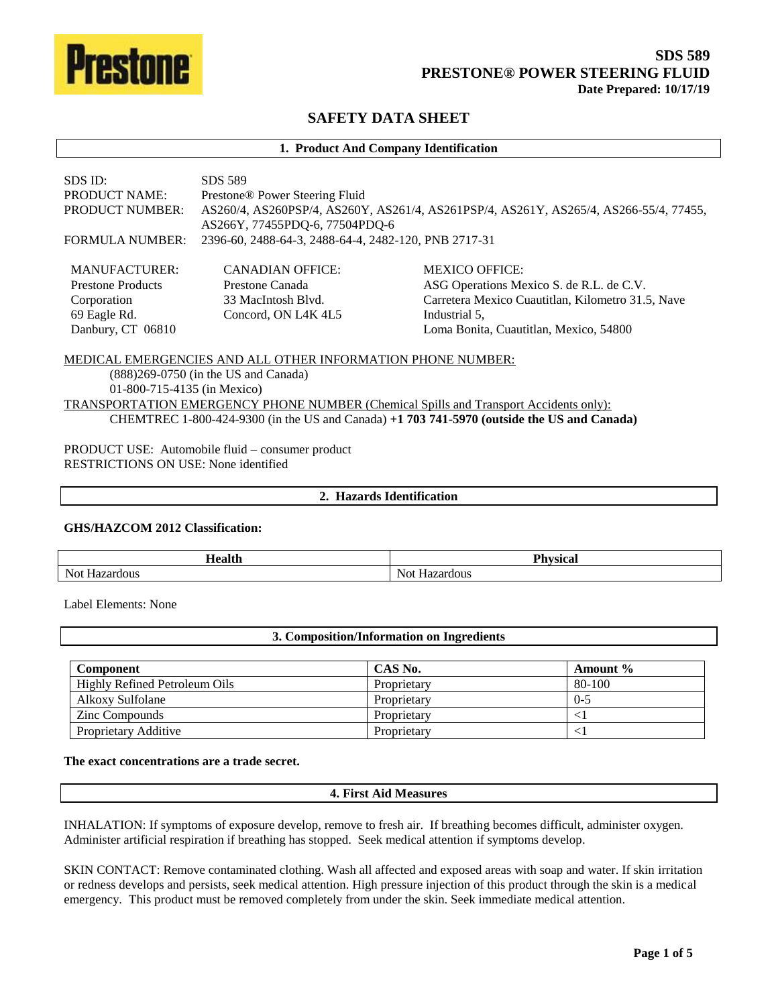

# **SAFETY DATA SHEET**

#### **1. Product And Company Identification** SDS ID: SDS 589 PRODUCT NAME: Prestone® Power Steering Fluid PRODUCT NUMBER: AS260/4, AS260PSP/4, AS260Y, AS261/4, AS261PSP/4, AS261Y, AS265/4, AS266-55/4, 77455, AS266Y, 77455PDQ-6, 77504PDQ-6 FORMULA NUMBER: 2396-60, 2488-64-3, 2488-64-4, 2482-120, PNB 2717-31 MANUFACTURER: Prestone Products Corporation 69 Eagle Rd. Danbury, CT 06810 CANADIAN OFFICE: Prestone Canada 33 MacIntosh Blvd. Concord, ON L4K 4L5 MEXICO OFFICE: ASG Operations Mexico S. de R.L. de C.V. Carretera Mexico Cuautitlan, Kilometro 31.5, Nave Industrial 5, Loma Bonita, Cuautitlan, Mexico, 54800 MEDICAL EMERGENCIES AND ALL OTHER INFORMATION PHONE NUMBER:

# (888)269-0750 (in the US and Canada) 01-800-715-4135 (in Mexico) TRANSPORTATION EMERGENCY PHONE NUMBER (Chemical Spills and Transport Accidents only): CHEMTREC 1-800-424-9300 (in the US and Canada) **+1 703 741-5970 (outside the US and Canada)**

PRODUCT USE: Automobile fluid – consumer product RESTRICTIONS ON USE: None identified

#### **2. Hazards Identification**

#### **GHS/HAZCOM 2012 Classification:**

| $-$<br>$\mathbf{u}$<br>$-$ 100 $+$ | <b>Dhysical</b><br>- - |
|------------------------------------|------------------------|
| Not<br>$ -$<br>ш<br>.              | dous<br>.              |

Label Elements: None

#### **3. Composition/Information on Ingredients**

| <b>Component</b>              | CAS No.     | Amount % |
|-------------------------------|-------------|----------|
| Highly Refined Petroleum Oils | Proprietary | 80-100   |
| Alkoxy Sulfolane              | Proprietary | $0 - 5$  |
| <b>Zinc Compounds</b>         | Proprietary |          |
| Proprietary Additive          | Proprietary |          |

#### **The exact concentrations are a trade secret.**

#### **4. First Aid Measures**

INHALATION: If symptoms of exposure develop, remove to fresh air. If breathing becomes difficult, administer oxygen. Administer artificial respiration if breathing has stopped. Seek medical attention if symptoms develop.

SKIN CONTACT: Remove contaminated clothing. Wash all affected and exposed areas with soap and water. If skin irritation or redness develops and persists, seek medical attention. High pressure injection of this product through the skin is a medical emergency. This product must be removed completely from under the skin. Seek immediate medical attention.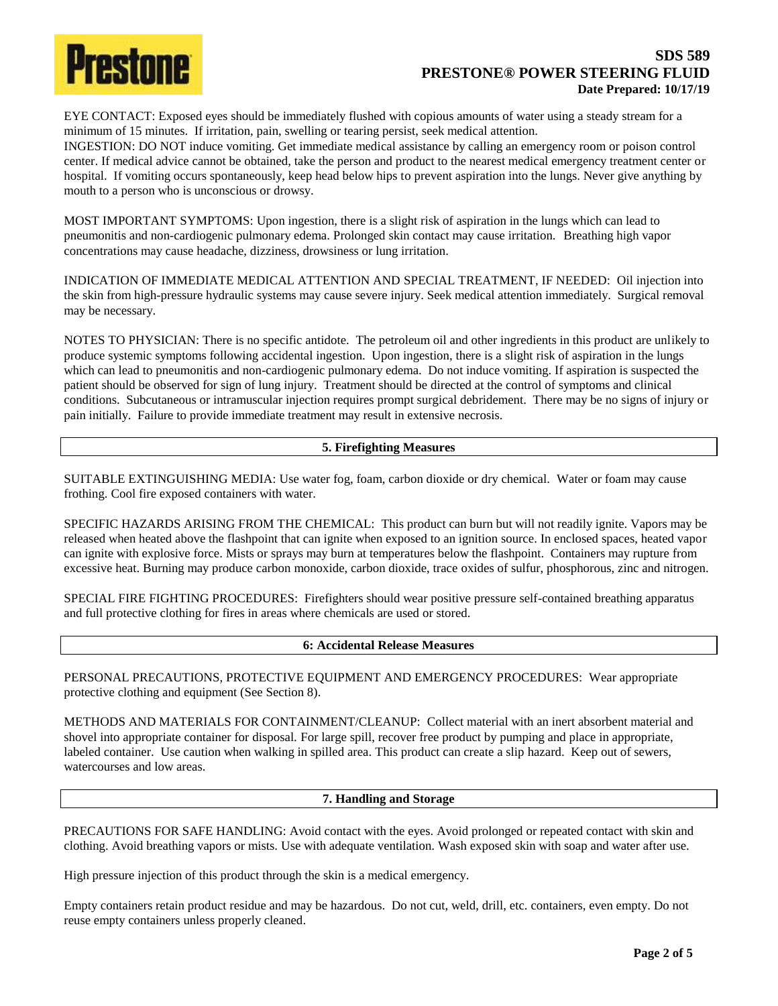

# **SDS 589 PRESTONE® POWER STEERING FLUID Date Prepared: 10/17/19**

EYE CONTACT: Exposed eyes should be immediately flushed with copious amounts of water using a steady stream for a minimum of 15 minutes. If irritation, pain, swelling or tearing persist, seek medical attention.

INGESTION: DO NOT induce vomiting. Get immediate medical assistance by calling an emergency room or poison control center. If medical advice cannot be obtained, take the person and product to the nearest medical emergency treatment center or hospital. If vomiting occurs spontaneously, keep head below hips to prevent aspiration into the lungs. Never give anything by mouth to a person who is unconscious or drowsy.

MOST IMPORTANT SYMPTOMS: Upon ingestion, there is a slight risk of aspiration in the lungs which can lead to pneumonitis and non-cardiogenic pulmonary edema. Prolonged skin contact may cause irritation. Breathing high vapor concentrations may cause headache, dizziness, drowsiness or lung irritation.

INDICATION OF IMMEDIATE MEDICAL ATTENTION AND SPECIAL TREATMENT, IF NEEDED: Oil injection into the skin from high-pressure hydraulic systems may cause severe injury. Seek medical attention immediately. Surgical removal may be necessary.

NOTES TO PHYSICIAN: There is no specific antidote. The petroleum oil and other ingredients in this product are unlikely to produce systemic symptoms following accidental ingestion. Upon ingestion, there is a slight risk of aspiration in the lungs which can lead to pneumonitis and non-cardiogenic pulmonary edema. Do not induce vomiting. If aspiration is suspected the patient should be observed for sign of lung injury. Treatment should be directed at the control of symptoms and clinical conditions. Subcutaneous or intramuscular injection requires prompt surgical debridement. There may be no signs of injury or pain initially. Failure to provide immediate treatment may result in extensive necrosis.

# **5. Firefighting Measures**

SUITABLE EXTINGUISHING MEDIA: Use water fog, foam, carbon dioxide or dry chemical. Water or foam may cause frothing. Cool fire exposed containers with water.

SPECIFIC HAZARDS ARISING FROM THE CHEMICAL: This product can burn but will not readily ignite. Vapors may be released when heated above the flashpoint that can ignite when exposed to an ignition source. In enclosed spaces, heated vapor can ignite with explosive force. Mists or sprays may burn at temperatures below the flashpoint. Containers may rupture from excessive heat. Burning may produce carbon monoxide, carbon dioxide, trace oxides of sulfur, phosphorous, zinc and nitrogen.

SPECIAL FIRE FIGHTING PROCEDURES: Firefighters should wear positive pressure self-contained breathing apparatus and full protective clothing for fires in areas where chemicals are used or stored.

## **6: Accidental Release Measures**

PERSONAL PRECAUTIONS, PROTECTIVE EQUIPMENT AND EMERGENCY PROCEDURES: Wear appropriate protective clothing and equipment (See Section 8).

METHODS AND MATERIALS FOR CONTAINMENT/CLEANUP: Collect material with an inert absorbent material and shovel into appropriate container for disposal. For large spill, recover free product by pumping and place in appropriate, labeled container. Use caution when walking in spilled area. This product can create a slip hazard. Keep out of sewers, watercourses and low areas.

#### **7. Handling and Storage**

PRECAUTIONS FOR SAFE HANDLING: Avoid contact with the eyes. Avoid prolonged or repeated contact with skin and clothing. Avoid breathing vapors or mists. Use with adequate ventilation. Wash exposed skin with soap and water after use.

High pressure injection of this product through the skin is a medical emergency.

Empty containers retain product residue and may be hazardous. Do not cut, weld, drill, etc. containers, even empty. Do not reuse empty containers unless properly cleaned.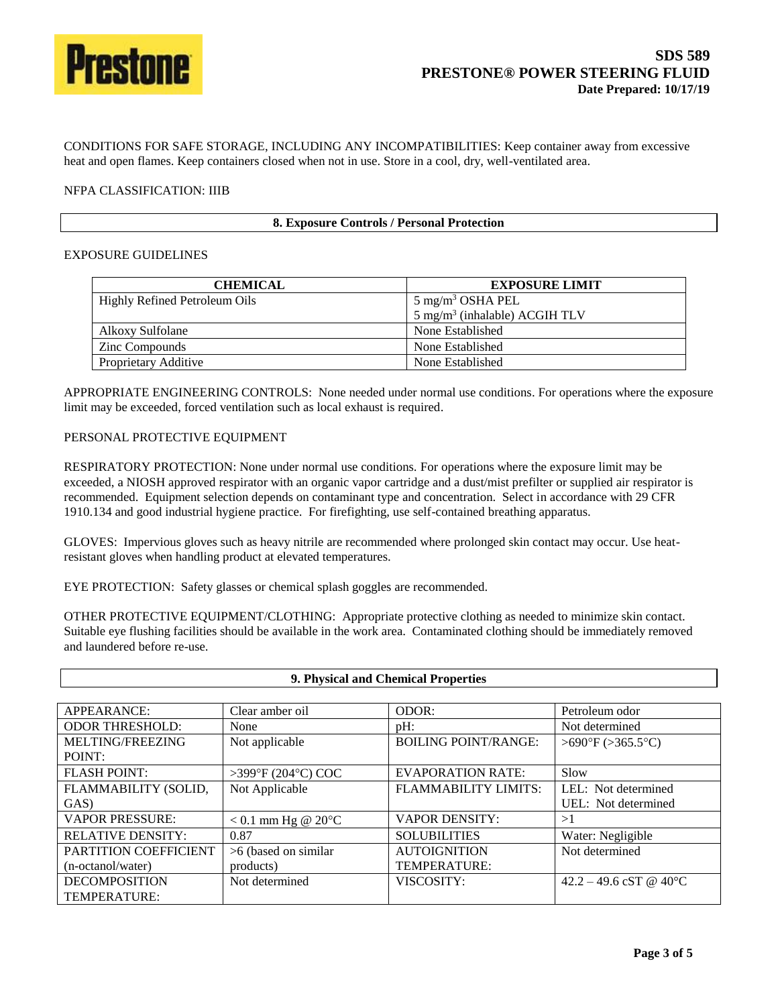

CONDITIONS FOR SAFE STORAGE, INCLUDING ANY INCOMPATIBILITIES: Keep container away from excessive heat and open flames. Keep containers closed when not in use. Store in a cool, dry, well-ventilated area.

### NFPA CLASSIFICATION: IIIB

|  | 8. Exposure Controls / Personal Protection |
|--|--------------------------------------------|
|--|--------------------------------------------|

### EXPOSURE GUIDELINES

| <b>CHEMICAL</b>               | <b>EXPOSURE LIMIT</b>                       |
|-------------------------------|---------------------------------------------|
| Highly Refined Petroleum Oils | $5 \text{ mg/m}^3 \text{OSHA PEL}$          |
|                               | $5$ mg/m <sup>3</sup> (inhalable) ACGIH TLV |
| Alkoxy Sulfolane              | None Established                            |
| <b>Zinc Compounds</b>         | None Established                            |
| Proprietary Additive          | None Established                            |

APPROPRIATE ENGINEERING CONTROLS: None needed under normal use conditions. For operations where the exposure limit may be exceeded, forced ventilation such as local exhaust is required.

### PERSONAL PROTECTIVE EQUIPMENT

RESPIRATORY PROTECTION: None under normal use conditions. For operations where the exposure limit may be exceeded, a NIOSH approved respirator with an organic vapor cartridge and a dust/mist prefilter or supplied air respirator is recommended. Equipment selection depends on contaminant type and concentration. Select in accordance with 29 CFR 1910.134 and good industrial hygiene practice. For firefighting, use self-contained breathing apparatus.

GLOVES: Impervious gloves such as heavy nitrile are recommended where prolonged skin contact may occur. Use heatresistant gloves when handling product at elevated temperatures.

EYE PROTECTION: Safety glasses or chemical splash goggles are recommended.

OTHER PROTECTIVE EQUIPMENT/CLOTHING: Appropriate protective clothing as needed to minimize skin contact. Suitable eye flushing facilities should be available in the work area. Contaminated clothing should be immediately removed and laundered before re-use.

| 9. Physical and Chemical Properties |                                |                             |                                   |
|-------------------------------------|--------------------------------|-----------------------------|-----------------------------------|
|                                     |                                |                             |                                   |
| APPEARANCE:                         | Clear amber oil                | ODOR:                       | Petroleum odor                    |
| <b>ODOR THRESHOLD:</b>              | None                           | $pH$ :                      | Not determined                    |
| MELTING/FREEZING                    | Not applicable                 | <b>BOILING POINT/RANGE:</b> | $>690^{\circ}F (>365.5^{\circ}C)$ |
| POINT:                              |                                |                             |                                   |
| <b>FLASH POINT:</b>                 | >399°F (204°C) COC             | <b>EVAPORATION RATE:</b>    | Slow                              |
| FLAMMABILITY (SOLID,                | Not Applicable                 | FLAMMABILITY LIMITS:        | LEL: Not determined               |
| GAS)                                |                                |                             | UEL: Not determined               |
| <b>VAPOR PRESSURE:</b>              | $< 0.1$ mm Hg @ 20 $\degree$ C | <b>VAPOR DENSITY:</b>       | >1                                |
| <b>RELATIVE DENSITY:</b>            | 0.87                           | <b>SOLUBILITIES</b>         | Water: Negligible                 |
| PARTITION COEFFICIENT               | $>6$ (based on similar)        | <b>AUTOIGNITION</b>         | Not determined                    |
| (n-octanol/water)                   | products)                      | TEMPERATURE:                |                                   |
| <b>DECOMPOSITION</b>                | Not determined                 | VISCOSITY:                  | 42.2 – 49.6 cST @ 40 $^{\circ}$ C |
| TEMPERATURE:                        |                                |                             |                                   |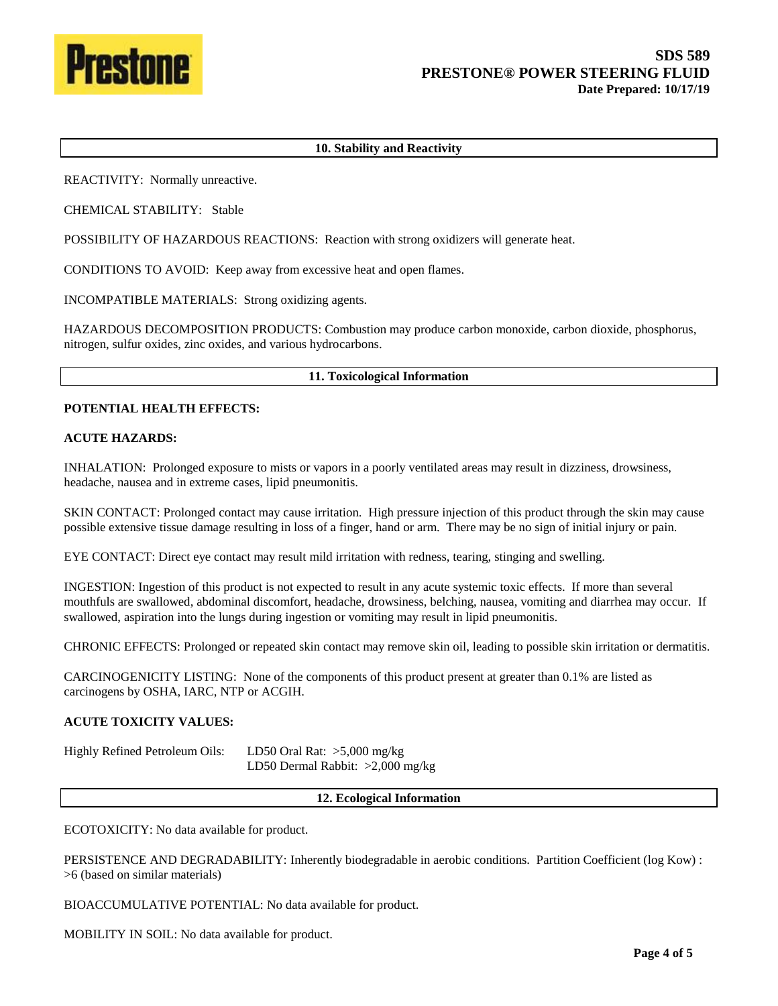

### **10. Stability and Reactivity**

REACTIVITY: Normally unreactive.

CHEMICAL STABILITY: Stable

POSSIBILITY OF HAZARDOUS REACTIONS: Reaction with strong oxidizers will generate heat.

CONDITIONS TO AVOID: Keep away from excessive heat and open flames.

INCOMPATIBLE MATERIALS: Strong oxidizing agents.

HAZARDOUS DECOMPOSITION PRODUCTS: Combustion may produce carbon monoxide, carbon dioxide, phosphorus, nitrogen, sulfur oxides, zinc oxides, and various hydrocarbons.

#### **11. Toxicological Information**

#### **POTENTIAL HEALTH EFFECTS:**

#### **ACUTE HAZARDS:**

INHALATION: Prolonged exposure to mists or vapors in a poorly ventilated areas may result in dizziness, drowsiness, headache, nausea and in extreme cases, lipid pneumonitis.

SKIN CONTACT: Prolonged contact may cause irritation. High pressure injection of this product through the skin may cause possible extensive tissue damage resulting in loss of a finger, hand or arm. There may be no sign of initial injury or pain.

EYE CONTACT: Direct eye contact may result mild irritation with redness, tearing, stinging and swelling.

INGESTION: Ingestion of this product is not expected to result in any acute systemic toxic effects. If more than several mouthfuls are swallowed, abdominal discomfort, headache, drowsiness, belching, nausea, vomiting and diarrhea may occur. If swallowed, aspiration into the lungs during ingestion or vomiting may result in lipid pneumonitis.

CHRONIC EFFECTS: Prolonged or repeated skin contact may remove skin oil, leading to possible skin irritation or dermatitis.

CARCINOGENICITY LISTING: None of the components of this product present at greater than 0.1% are listed as carcinogens by OSHA, IARC, NTP or ACGIH.

### **ACUTE TOXICITY VALUES:**

Highly Refined Petroleum Oils: LD50 Oral Rat: >5,000 mg/kg LD50 Dermal Rabbit: >2,000 mg/kg

#### **12. Ecological Information**

ECOTOXICITY: No data available for product.

PERSISTENCE AND DEGRADABILITY: Inherently biodegradable in aerobic conditions. Partition Coefficient (log Kow) : >6 (based on similar materials)

BIOACCUMULATIVE POTENTIAL: No data available for product.

MOBILITY IN SOIL: No data available for product.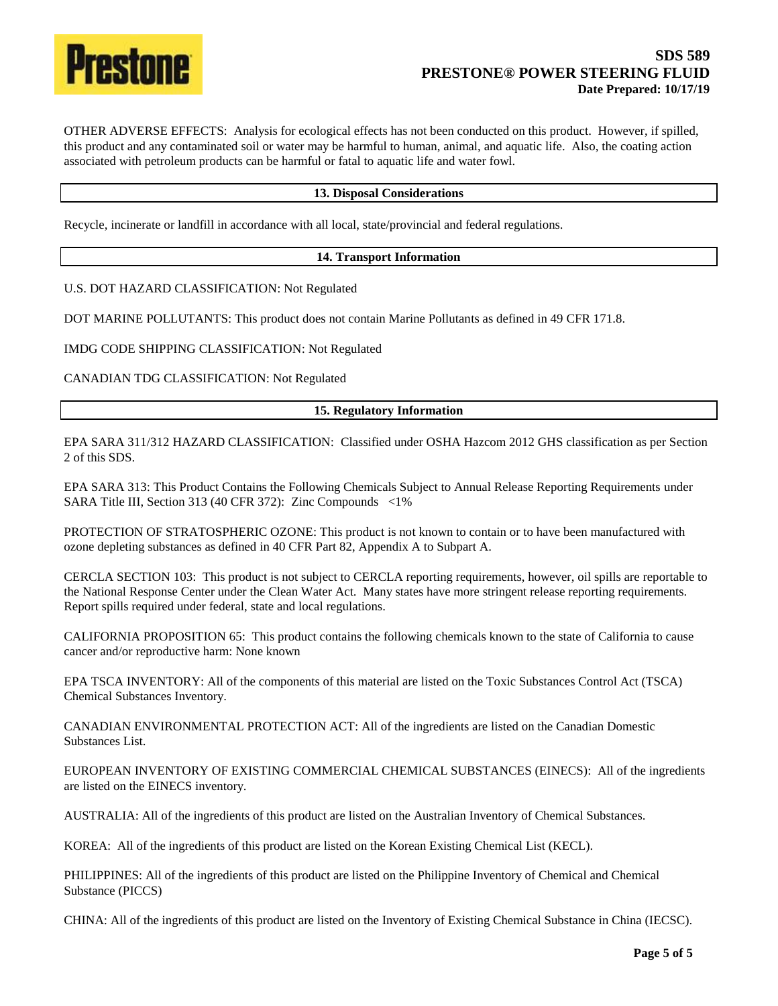

OTHER ADVERSE EFFECTS: Analysis for ecological effects has not been conducted on this product. However, if spilled, this product and any contaminated soil or water may be harmful to human, animal, and aquatic life. Also, the coating action associated with petroleum products can be harmful or fatal to aquatic life and water fowl.

#### **13. Disposal Considerations**

Recycle, incinerate or landfill in accordance with all local, state/provincial and federal regulations.

#### **14. Transport Information**

U.S. DOT HAZARD CLASSIFICATION: Not Regulated

DOT MARINE POLLUTANTS: This product does not contain Marine Pollutants as defined in 49 CFR 171.8.

IMDG CODE SHIPPING CLASSIFICATION: Not Regulated

CANADIAN TDG CLASSIFICATION: Not Regulated

#### **15. Regulatory Information**

EPA SARA 311/312 HAZARD CLASSIFICATION: Classified under OSHA Hazcom 2012 GHS classification as per Section 2 of this SDS.

EPA SARA 313: This Product Contains the Following Chemicals Subject to Annual Release Reporting Requirements under SARA Title III, Section 313 (40 CFR 372): Zinc Compounds <1%

PROTECTION OF STRATOSPHERIC OZONE: This product is not known to contain or to have been manufactured with ozone depleting substances as defined in 40 CFR Part 82, Appendix A to Subpart A.

CERCLA SECTION 103: This product is not subject to CERCLA reporting requirements, however, oil spills are reportable to the National Response Center under the Clean Water Act. Many states have more stringent release reporting requirements. Report spills required under federal, state and local regulations.

CALIFORNIA PROPOSITION 65: This product contains the following chemicals known to the state of California to cause cancer and/or reproductive harm: None known

EPA TSCA INVENTORY: All of the components of this material are listed on the Toxic Substances Control Act (TSCA) Chemical Substances Inventory.

CANADIAN ENVIRONMENTAL PROTECTION ACT: All of the ingredients are listed on the Canadian Domestic Substances List.

EUROPEAN INVENTORY OF EXISTING COMMERCIAL CHEMICAL SUBSTANCES (EINECS): All of the ingredients are listed on the EINECS inventory.

AUSTRALIA: All of the ingredients of this product are listed on the Australian Inventory of Chemical Substances.

KOREA: All of the ingredients of this product are listed on the Korean Existing Chemical List (KECL).

PHILIPPINES: All of the ingredients of this product are listed on the Philippine Inventory of Chemical and Chemical Substance (PICCS)

CHINA: All of the ingredients of this product are listed on the Inventory of Existing Chemical Substance in China (IECSC).